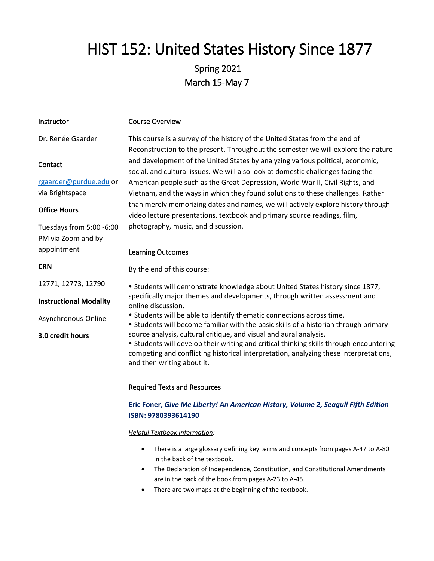# HIST 152: United States History Since 1877

# Spring 2021 March 15-May 7

| Dr. Renée Gaarder             | This course is a survey of the history of the United States from the end of             |  |  |  |
|-------------------------------|-----------------------------------------------------------------------------------------|--|--|--|
|                               | Reconstruction to the present. Throughout the semester we will explore the nature       |  |  |  |
| Contact                       | and development of the United States by analyzing various political, economic,          |  |  |  |
|                               | social, and cultural issues. We will also look at domestic challenges facing the        |  |  |  |
| rgaarder@purdue.edu or        | American people such as the Great Depression, World War II, Civil Rights, and           |  |  |  |
| via Brightspace               | Vietnam, and the ways in which they found solutions to these challenges. Rather         |  |  |  |
|                               | than merely memorizing dates and names, we will actively explore history through        |  |  |  |
| <b>Office Hours</b>           | video lecture presentations, textbook and primary source readings, film,                |  |  |  |
| Tuesdays from 5:00 -6:00      | photography, music, and discussion.                                                     |  |  |  |
| PM via Zoom and by            |                                                                                         |  |  |  |
|                               |                                                                                         |  |  |  |
| appointment                   | <b>Learning Outcomes</b>                                                                |  |  |  |
| <b>CRN</b>                    | By the end of this course:                                                              |  |  |  |
|                               |                                                                                         |  |  |  |
| 12771, 12773, 12790           | . Students will demonstrate knowledge about United States history since 1877,           |  |  |  |
| <b>Instructional Modality</b> | specifically major themes and developments, through written assessment and              |  |  |  |
|                               | online discussion.                                                                      |  |  |  |
| Asynchronous-Online           | • Students will be able to identify thematic connections across time.                   |  |  |  |
|                               | • Students will become familiar with the basic skills of a historian through primary    |  |  |  |
| 3.0 credit hours              | source analysis, cultural critique, and visual and aural analysis.                      |  |  |  |
|                               | • Students will develop their writing and critical thinking skills through encountering |  |  |  |
|                               | competing and conflicting historical interpretation, analyzing these interpretations,   |  |  |  |

Course Overview

Instructor

#### Required Texts and Resources

and then writing about it.

# **Eric Foner,** *Give Me Liberty! An American History, Volume 2, Seagull Fifth Edition*  **ISBN: 9780393614190**

#### *Helpful Textbook Information:*

- There is a large glossary defining key terms and concepts from pages A-47 to A-80 in the back of the textbook.
- The Declaration of Independence, Constitution, and Constitutional Amendments are in the back of the book from pages A-23 to A-45.
- There are two maps at the beginning of the textbook.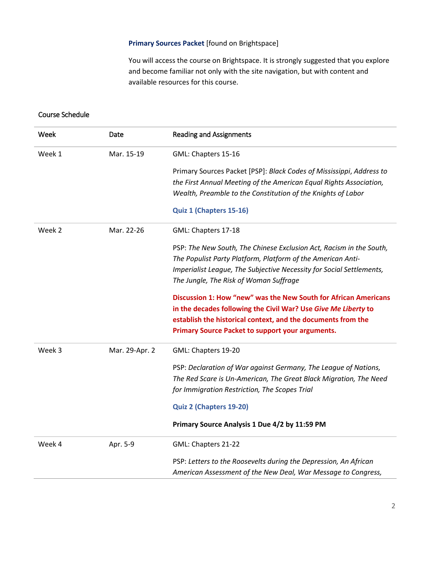#### **Primary Sources Packet** [found on Brightspace]

You will access the course on Brightspace. It is strongly suggested that you explore and become familiar not only with the site navigation, but with content and available resources for this course.

#### Course Schedule

| Week   | Date           | <b>Reading and Assignments</b>                                       |
|--------|----------------|----------------------------------------------------------------------|
| Week 1 | Mar. 15-19     | GML: Chapters 15-16                                                  |
|        |                | Primary Sources Packet [PSP]: Black Codes of Mississippi, Address to |
|        |                | the First Annual Meeting of the American Equal Rights Association,   |
|        |                | Wealth, Preamble to the Constitution of the Knights of Labor         |
|        |                | Quiz 1 (Chapters 15-16)                                              |
| Week 2 | Mar. 22-26     | GML: Chapters 17-18                                                  |
|        |                | PSP: The New South, The Chinese Exclusion Act, Racism in the South,  |
|        |                | The Populist Party Platform, Platform of the American Anti-          |
|        |                | Imperialist League, The Subjective Necessity for Social Settlements, |
|        |                | The Jungle, The Risk of Woman Suffrage                               |
|        |                | Discussion 1: How "new" was the New South for African Americans      |
|        |                | in the decades following the Civil War? Use Give Me Liberty to       |
|        |                | establish the historical context, and the documents from the         |
|        |                | Primary Source Packet to support your arguments.                     |
| Week 3 | Mar. 29-Apr. 2 | GML: Chapters 19-20                                                  |
|        |                | PSP: Declaration of War against Germany, The League of Nations,      |
|        |                | The Red Scare is Un-American, The Great Black Migration, The Need    |
|        |                | for Immigration Restriction, The Scopes Trial                        |
|        |                | Quiz 2 (Chapters 19-20)                                              |
|        |                | Primary Source Analysis 1 Due 4/2 by 11:59 PM                        |
| Week 4 | Apr. 5-9       | GML: Chapters 21-22                                                  |
|        |                | PSP: Letters to the Roosevelts during the Depression, An African     |
|        |                | American Assessment of the New Deal, War Message to Congress,        |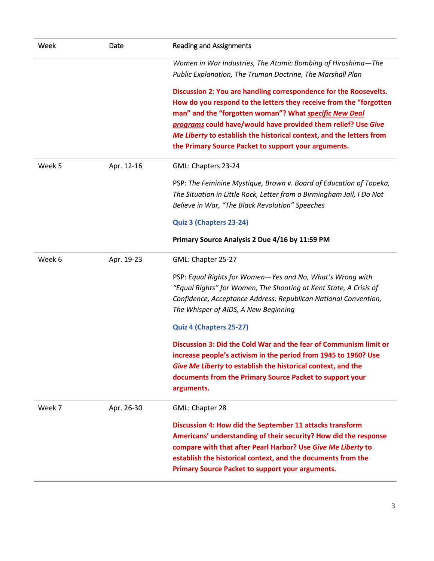| Week   | Date       | <b>Reading and Assignments</b>                                                                                                                                                                                                                                                                                                             |  |  |  |
|--------|------------|--------------------------------------------------------------------------------------------------------------------------------------------------------------------------------------------------------------------------------------------------------------------------------------------------------------------------------------------|--|--|--|
|        |            | Women in War Industries, The Atomic Bombing of Hiroshima-The<br>Public Explanation, The Truman Doctrine, The Marshall Plan                                                                                                                                                                                                                 |  |  |  |
|        |            | Discussion 2: You are handling correspondence for the Roosevelts.<br>How do you respond to the letters they receive from the "forgotten<br>man" and the "forgotten woman"? What specific New Deal<br>programs could have/would have provided them relief? Use Give<br>Me Liberty to establish the historical context, and the letters from |  |  |  |
|        |            | the Primary Source Packet to support your arguments.                                                                                                                                                                                                                                                                                       |  |  |  |
| Week 5 | Apr. 12-16 | GML: Chapters 23-24                                                                                                                                                                                                                                                                                                                        |  |  |  |
|        |            | PSP: The Feminine Mystique, Brown v. Board of Education of Topeka,<br>The Situation in Little Rock, Letter from a Birmingham Jail, I Do Not<br>Believe in War, "The Black Revolution" Speeches                                                                                                                                             |  |  |  |
|        |            | Quiz 3 (Chapters 23-24)                                                                                                                                                                                                                                                                                                                    |  |  |  |
|        |            | Primary Source Analysis 2 Due 4/16 by 11:59 PM                                                                                                                                                                                                                                                                                             |  |  |  |
| Week 6 | Apr. 19-23 | GML: Chapter 25-27                                                                                                                                                                                                                                                                                                                         |  |  |  |
|        |            | PSP: Equal Rights for Women-Yes and No, What's Wrong with<br>"Equal Rights" for Women, The Shooting at Kent State, A Crisis of<br>Confidence, Acceptance Address: Republican National Convention,<br>The Whisper of AIDS, A New Beginning                                                                                                  |  |  |  |
|        |            | Quiz 4 (Chapters 25-27)                                                                                                                                                                                                                                                                                                                    |  |  |  |
|        |            | Discussion 3: Did the Cold War and the fear of Communism limit or<br>increase people's activism in the period from 1945 to 1960? Use<br>Give Me Liberty to establish the historical context, and the<br>documents from the Primary Source Packet to support your<br>arguments.                                                             |  |  |  |
| Week 7 | Apr. 26-30 | GML: Chapter 28                                                                                                                                                                                                                                                                                                                            |  |  |  |
|        |            | Discussion 4: How did the September 11 attacks transform<br>Americans' understanding of their security? How did the response<br>compare with that after Pearl Harbor? Use Give Me Liberty to<br>establish the historical context, and the documents from the<br>Primary Source Packet to support your arguments.                           |  |  |  |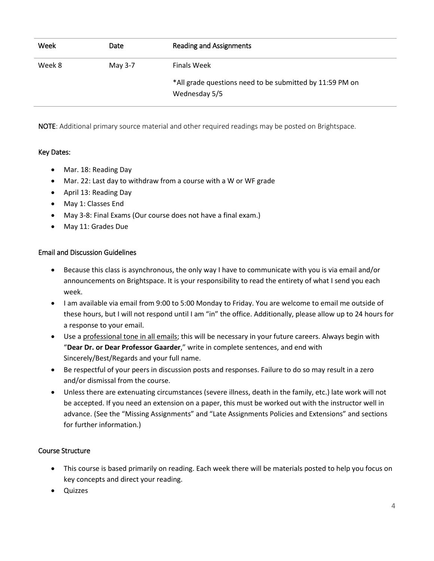| Week   | <b>Date</b> | Reading and Assignments                                                   |
|--------|-------------|---------------------------------------------------------------------------|
| Week 8 | May 3-7     | <b>Finals Week</b>                                                        |
|        |             | *All grade questions need to be submitted by 11:59 PM on<br>Wednesday 5/5 |

NOTE: Additional primary source material and other required readings may be posted on Brightspace.

# Key Dates:

- Mar. 18: Reading Day
- Mar. 22: Last day to withdraw from a course with a W or WF grade
- April 13: Reading Day
- May 1: Classes End
- May 3-8: Final Exams (Our course does not have a final exam.)
- May 11: Grades Due

#### Email and Discussion Guidelines

- Because this class is asynchronous, the only way I have to communicate with you is via email and/or announcements on Brightspace. It is your responsibility to read the entirety of what I send you each week.
- I am available via email from 9:00 to 5:00 Monday to Friday. You are welcome to email me outside of these hours, but I will not respond until I am "in" the office. Additionally, please allow up to 24 hours for a response to your email.
- Use a professional tone in all emails; this will be necessary in your future careers. Always begin with "**Dear Dr. or Dear Professor Gaarder**," write in complete sentences, and end with Sincerely/Best/Regards and your full name.
- Be respectful of your peers in discussion posts and responses. Failure to do so may result in a zero and/or dismissal from the course.
- Unless there are extenuating circumstances (severe illness, death in the family, etc.) late work will not be accepted. If you need an extension on a paper, this must be worked out with the instructor well in advance. (See the "Missing Assignments" and "Late Assignments Policies and Extensions" and sections for further information.)

#### Course Structure

- This course is based primarily on reading. Each week there will be materials posted to help you focus on key concepts and direct your reading.
- Quizzes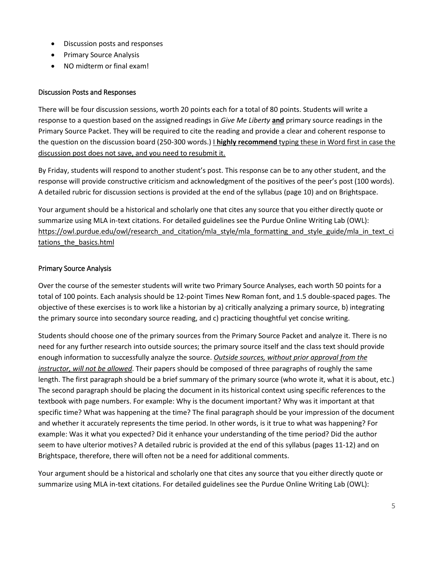- Discussion posts and responses
- Primary Source Analysis
- NO midterm or final exam!

#### Discussion Posts and Responses

There will be four discussion sessions, worth 20 points each for a total of 80 points. Students will write a response to a question based on the assigned readings in *Give Me Liberty* **and** primary source readings in the Primary Source Packet. They will be required to cite the reading and provide a clear and coherent response to the question on the discussion board (250-300 words.) I **highly recommend** typing these in Word first in case the discussion post does not save, and you need to resubmit it.

By Friday, students will respond to another student's post. This response can be to any other student, and the response will provide constructive criticism and acknowledgment of the positives of the peer's post (100 words). A detailed rubric for discussion sections is provided at the end of the syllabus (page 10) and on Brightspace.

Your argument should be a historical and scholarly one that cites any source that you either directly quote or summarize using MLA in-text citations. For detailed guidelines see the Purdue Online Writing Lab (OWL): [https://owl.purdue.edu/owl/research\\_and\\_citation/mla\\_style/mla\\_formatting\\_and\\_style\\_guide/mla\\_in\\_text\\_ci](https://owl.purdue.edu/owl/research_and_citation/mla_style/mla_formatting_and_style_guide/mla_in_text_citations_the_basics.html) tations the basics.html

#### Primary Source Analysis

Over the course of the semester students will write two Primary Source Analyses, each worth 50 points for a total of 100 points. Each analysis should be 12-point Times New Roman font, and 1.5 double-spaced pages. The objective of these exercises is to work like a historian by a) critically analyzing a primary source, b) integrating the primary source into secondary source reading, and c) practicing thoughtful yet concise writing.

Students should choose one of the primary sources from the Primary Source Packet and analyze it. There is no need for any further research into outside sources; the primary source itself and the class text should provide enough information to successfully analyze the source. *Outside sources, without prior approval from the instructor, will not be allowed*. Their papers should be composed of three paragraphs of roughly the same length. The first paragraph should be a brief summary of the primary source (who wrote it, what it is about, etc.) The second paragraph should be placing the document in its historical context using specific references to the textbook with page numbers. For example: Why is the document important? Why was it important at that specific time? What was happening at the time? The final paragraph should be your impression of the document and whether it accurately represents the time period. In other words, is it true to what was happening? For example: Was it what you expected? Did it enhance your understanding of the time period? Did the author seem to have ulterior motives? A detailed rubric is provided at the end of this syllabus (pages 11-12) and on Brightspace, therefore, there will often not be a need for additional comments.

Your argument should be a historical and scholarly one that cites any source that you either directly quote or summarize using MLA in-text citations. For detailed guidelines see the Purdue Online Writing Lab (OWL):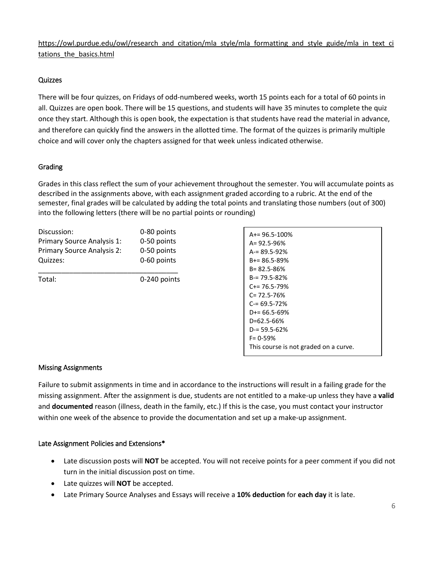# [https://owl.purdue.edu/owl/research\\_and\\_citation/mla\\_style/mla\\_formatting\\_and\\_style\\_guide/mla\\_in\\_text\\_ci](https://owl.purdue.edu/owl/research_and_citation/mla_style/mla_formatting_and_style_guide/mla_in_text_citations_the_basics.html) tations the basics.html

# Quizzes

There will be four quizzes, on Fridays of odd-numbered weeks, worth 15 points each for a total of 60 points in all. Quizzes are open book. There will be 15 questions, and students will have 35 minutes to complete the quiz once they start. Although this is open book, the expectation is that students have read the material in advance, and therefore can quickly find the answers in the allotted time. The format of the quizzes is primarily multiple choice and will cover only the chapters assigned for that week unless indicated otherwise.

# Grading

Grades in this class reflect the sum of your achievement throughout the semester. You will accumulate points as described in the assignments above, with each assignment graded according to a rubric. At the end of the semester, final grades will be calculated by adding the total points and translating those numbers (out of 300) into the following letters (there will be no partial points or rounding)

| Discussion:                | 0-80 points  |
|----------------------------|--------------|
| Primary Source Analysis 1: | 0-50 points  |
| Primary Source Analysis 2: | 0-50 points  |
| Quizzes:                   | 0-60 points  |
| Total:                     | 0-240 points |
|                            |              |

| $A+= 96.5 - 100%$                     |
|---------------------------------------|
| $A = 92.5 - 96%$                      |
| $A = 89.5 - 92%$                      |
| $B+=86.5-89%$                         |
| $B = 82.5 - 86%$                      |
| $B = 79.5 - 82%$                      |
| C+= 76.5-79%                          |
| C= 72.5-76%                           |
| C-= 69.5-72%                          |
| $D+= 66.5 - 69%$                      |
| D=62.5-66%                            |
| $D = 59.5 - 62%$                      |
| $F = 0.59%$                           |
| This course is not graded on a curve. |

# Missing Assignments

Failure to submit assignments in time and in accordance to the instructions will result in a failing grade for the missing assignment. After the assignment is due, students are not entitled to a make-up unless they have a **valid**  and **documented** reason (illness, death in the family, etc.) If this is the case, you must contact your instructor within one week of the absence to provide the documentation and set up a make-up assignment.

# Late Assignment Policies and Extensions\*

- Late discussion posts will **NOT** be accepted. You will not receive points for a peer comment if you did not turn in the initial discussion post on time.
- Late quizzes will **NOT** be accepted.
- Late Primary Source Analyses and Essays will receive a **10% deduction** for **each day** it is late.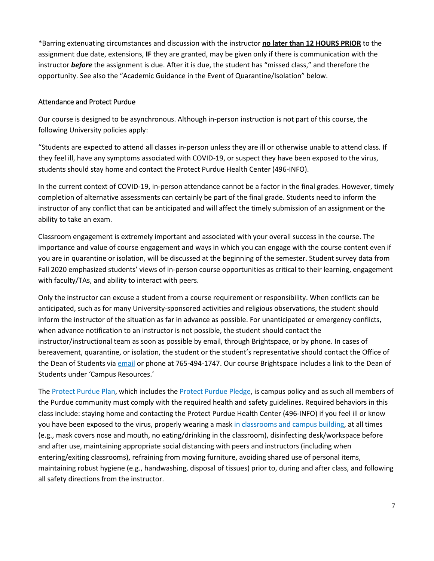\*Barring extenuating circumstances and discussion with the instructor **no later than 12 HOURS PRIOR** to the assignment due date, extensions, **IF** they are granted, may be given only if there is communication with the instructor *before* the assignment is due. After it is due, the student has "missed class," and therefore the opportunity. See also the "Academic Guidance in the Event of Quarantine/Isolation" below.

#### Attendance and Protect Purdue

Our course is designed to be asynchronous. Although in-person instruction is not part of this course, the following University policies apply:

"Students are expected to attend all classes in-person unless they are ill or otherwise unable to attend class. If they feel ill, have any symptoms associated with COVID-19, or suspect they have been exposed to the virus, students should stay home and contact the Protect Purdue Health Center (496-INFO).

In the current context of COVID-19, in-person attendance cannot be a factor in the final grades. However, timely completion of alternative assessments can certainly be part of the final grade. Students need to inform the instructor of any conflict that can be anticipated and will affect the timely submission of an assignment or the ability to take an exam.

Classroom engagement is extremely important and associated with your overall success in the course. The importance and value of course engagement and ways in which you can engage with the course content even if you are in quarantine or isolation, will be discussed at the beginning of the semester. Student survey data from Fall 2020 emphasized students' views of in-person course opportunities as critical to their learning, engagement with faculty/TAs, and ability to interact with peers.

Only the instructor can excuse a student from a course requirement or responsibility. When conflicts can be anticipated, such as for many University-sponsored activities and religious observations, the student should inform the instructor of the situation as far in advance as possible. For unanticipated or emergency conflicts, when advance notification to an instructor is not possible, the student should contact the instructor/instructional team as soon as possible by email, through Brightspace, or by phone. In cases of bereavement, quarantine, or isolation, the student or the student's representative should contact the Office of the Dean of Students via [email](mailto:odos@purdue.edu%20?subject=Student%20Bereavement%20Needs) or phone at 765-494-1747. Our course Brightspace includes a link to the Dean of Students under 'Campus Resources.'

The [Protect Purdue Plan,](https://protect.purdue.edu/plan/) which includes th[e Protect Purdue Pledge,](https://protect.purdue.edu/pledge/?_ga=2.210401429.1213937682.1590527202-1814553957.1589408073) is campus policy and as such all members of the Purdue community must comply with the required health and safety guidelines. Required behaviors in this class include: staying home and contacting the Protect Purdue Health Center (496-INFO) if you feel ill or know you have been exposed to the virus, properly wearing a mas[k in classrooms and campus building,](https://protect.purdue.edu/updates/face-covering-protocols/) at all times (e.g., mask covers nose and mouth, no eating/drinking in the classroom), disinfecting desk/workspace before and after use, maintaining appropriate social distancing with peers and instructors (including when entering/exiting classrooms), refraining from moving furniture, avoiding shared use of personal items, maintaining robust hygiene (e.g., handwashing, disposal of tissues) prior to, during and after class, and following all safety directions from the instructor.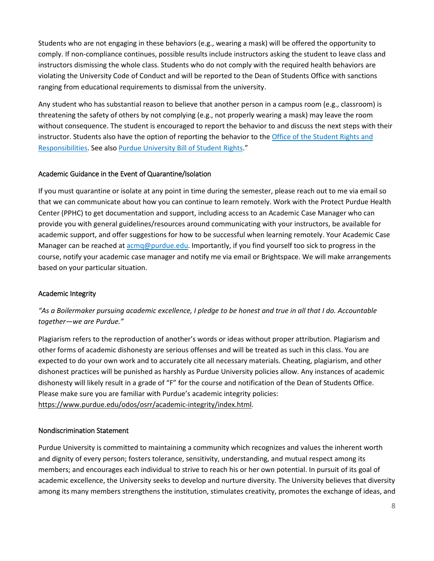Students who are not engaging in these behaviors (e.g., wearing a mask) will be offered the opportunity to comply. If non-compliance continues, possible results include instructors asking the student to leave class and instructors dismissing the whole class. Students who do not comply with the required health behaviors are violating the University Code of Conduct and will be reported to the Dean of Students Office with sanctions ranging from educational requirements to dismissal from the university.

Any student who has substantial reason to believe that another person in a campus room (e.g., classroom) is threatening the safety of others by not complying (e.g., not properly wearing a mask) may leave the room without consequence. The student is encouraged to report the behavior to and discuss the next steps with their instructor. Students also have the option of reporting the behavior to th[e Office of the Student Rights and](https://www.purdue.edu/odos/osrr/)  [Responsibilities.](https://www.purdue.edu/odos/osrr/) See also [Purdue University Bill of Student Rights.](https://catalog.purdue.edu/content.php?catoid=7&navoid=2852#purdue-university-bill-of-student-rights)"

# Academic Guidance in the Event of Quarantine/Isolation

If you must quarantine or isolate at any point in time during the semester, please reach out to me via email so that we can communicate about how you can continue to learn remotely. Work with the Protect Purdue Health Center (PPHC) to get documentation and support, including access to an Academic Case Manager who can provide you with general guidelines/resources around communicating with your instructors, be available for academic support, and offer suggestions for how to be successful when learning remotely. Your Academic Case Manager can be reached at [acmq@purdue.edu.](mailto:acmq@purdue.edu) Importantly, if you find yourself too sick to progress in the course, notify your academic case manager and notify me via email or Brightspace. We will make arrangements based on your particular situation.

#### Academic Integrity

# *"As a Boilermaker pursuing academic excellence, I pledge to be honest and true in all that I do. Accountable together—we are Purdue."*

Plagiarism refers to the reproduction of another's words or ideas without proper attribution. Plagiarism and other forms of academic dishonesty are serious offenses and will be treated as such in this class. You are expected to do your own work and to accurately cite all necessary materials. Cheating, plagiarism, and other dishonest practices will be punished as harshly as Purdue University policies allow. Any instances of academic dishonesty will likely result in a grade of "F" for the course and notification of the Dean of Students Office. Please make sure you are familiar with Purdue's academic integrity policies: [https://www.purdue.edu/odos/osrr/academic-integrity/index.html.](https://www.purdue.edu/odos/osrr/academic-integrity/index.html)

#### Nondiscrimination Statement

Purdue University is committed to maintaining a community which recognizes and values the inherent worth and dignity of every person; fosters tolerance, sensitivity, understanding, and mutual respect among its members; and encourages each individual to strive to reach his or her own potential. In pursuit of its goal of academic excellence, the University seeks to develop and nurture diversity. The University believes that diversity among its many members strengthens the institution, stimulates creativity, promotes the exchange of ideas, and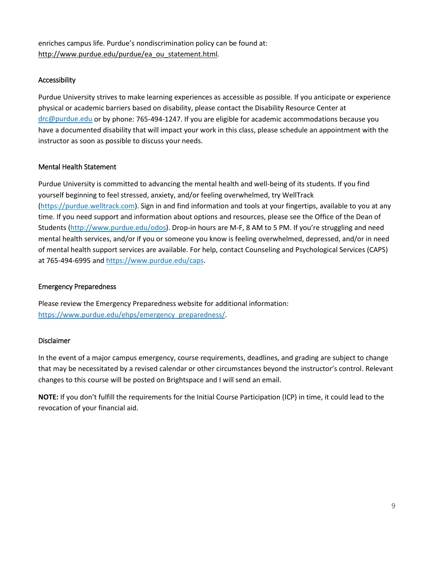enriches campus life. Purdue's nondiscrimination policy can be found at: [http://www.purdue.edu/purdue/ea\\_ou\\_statement.html.](http://www.purdue.edu/purdue/ea_ou_statement.html)

# Accessibility

Purdue University strives to make learning experiences as accessible as possible. If you anticipate or experience physical or academic barriers based on disability, please contact the Disability Resource Center at [drc@purdue.edu](mailto:drc@purdue.edu) or by phone: 765-494-1247. If you are eligible for academic accommodations because you have a documented disability that will impact your work in this class, please schedule an appointment with the instructor as soon as possible to discuss your needs.

#### Mental Health Statement

Purdue University is committed to advancing the mental health and well-being of its students. If you find yourself beginning to feel stressed, anxiety, and/or feeling overwhelmed, try WellTrack [\(https://purdue.welltrack.com\)](https://purdue.welltrack.com/). Sign in and find information and tools at your fingertips, available to you at any time. If you need support and information about options and resources, please see the Office of the Dean of Students [\(http://www.purdue.edu/odos\)](http://www.purdue.edu/odos). Drop-in hours are M-F, 8 AM to 5 PM. If you're struggling and need mental health services, and/or if you or someone you know is feeling overwhelmed, depressed, and/or in need of mental health support services are available. For help, contact Counseling and Psychological Services (CAPS) at 765-494-6995 an[d https://www.purdue.edu/caps.](https://www.purdue.edu/caps)

#### Emergency Preparedness

Please review the Emergency Preparedness website for additional information: [https://www.purdue.edu/ehps/emergency\\_preparedness/.](https://www.purdue.edu/ehps/emergency_preparedness/)

#### Disclaimer

In the event of a major campus emergency, course requirements, deadlines, and grading are subject to change that may be necessitated by a revised calendar or other circumstances beyond the instructor's control. Relevant changes to this course will be posted on Brightspace and I will send an email.

**NOTE:** If you don't fulfill the requirements for the Initial Course Participation (ICP) in time, it could lead to the revocation of your financial aid.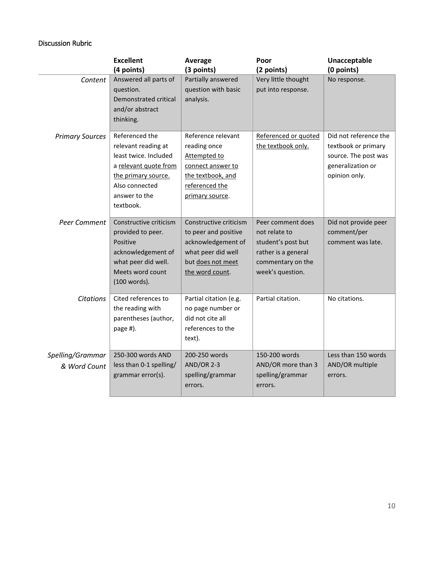# Discussion Rubric

|                                  | <b>Excellent</b>                                                                                                                                               | Average                                                                                                                            | Poor                                                                                                                     | Unacceptable                                                                                               |
|----------------------------------|----------------------------------------------------------------------------------------------------------------------------------------------------------------|------------------------------------------------------------------------------------------------------------------------------------|--------------------------------------------------------------------------------------------------------------------------|------------------------------------------------------------------------------------------------------------|
|                                  | (4 points)                                                                                                                                                     | (3 points)                                                                                                                         | (2 points)                                                                                                               | (0 points)                                                                                                 |
| Content                          | Answered all parts of<br>question.<br>Demonstrated critical<br>and/or abstract<br>thinking.                                                                    | Partially answered<br>question with basic<br>analysis.                                                                             | Very little thought<br>put into response.                                                                                | No response.                                                                                               |
| <b>Primary Sources</b>           | Referenced the<br>relevant reading at<br>least twice. Included<br>a relevant quote from<br>the primary source.<br>Also connected<br>answer to the<br>textbook. | Reference relevant<br>reading once<br>Attempted to<br>connect answer to<br>the textbook, and<br>referenced the<br>primary source.  | Referenced or quoted<br>the textbook only.                                                                               | Did not reference the<br>textbook or primary<br>source. The post was<br>generalization or<br>opinion only. |
| Peer Comment                     | Constructive criticism<br>provided to peer.<br>Positive<br>acknowledgement of<br>what peer did well.<br>Meets word count<br>(100 words).                       | Constructive criticism<br>to peer and positive<br>acknowledgement of<br>what peer did well<br>but does not meet<br>the word count. | Peer comment does<br>not relate to<br>student's post but<br>rather is a general<br>commentary on the<br>week's question. | Did not provide peer<br>comment/per<br>comment was late.                                                   |
| <b>Citations</b>                 | Cited references to<br>the reading with<br>parentheses (author,<br>page #).                                                                                    | Partial citation (e.g.<br>no page number or<br>did not cite all<br>references to the<br>text).                                     | Partial citation.                                                                                                        | No citations.                                                                                              |
| Spelling/Grammar<br>& Word Count | 250-300 words AND<br>less than 0-1 spelling/<br>grammar error(s).                                                                                              | 200-250 words<br><b>AND/OR 2-3</b><br>spelling/grammar<br>errors.                                                                  | 150-200 words<br>AND/OR more than 3<br>spelling/grammar<br>errors.                                                       | Less than 150 words<br>AND/OR multiple<br>errors.                                                          |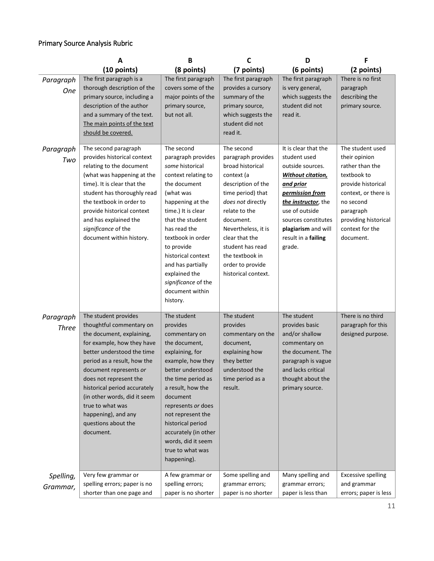# Primary Source Analysis Rubric

|                           | A                                                                                                                                                                                                                                                                                                                                                                           | B                                                                                                                                                                                                                                                                                                                                          | C                                                                                                                                                                                                                                                                                           | D                                                                                                                                                                                                                                           | F                                                                                                                                                                                                   |
|---------------------------|-----------------------------------------------------------------------------------------------------------------------------------------------------------------------------------------------------------------------------------------------------------------------------------------------------------------------------------------------------------------------------|--------------------------------------------------------------------------------------------------------------------------------------------------------------------------------------------------------------------------------------------------------------------------------------------------------------------------------------------|---------------------------------------------------------------------------------------------------------------------------------------------------------------------------------------------------------------------------------------------------------------------------------------------|---------------------------------------------------------------------------------------------------------------------------------------------------------------------------------------------------------------------------------------------|-----------------------------------------------------------------------------------------------------------------------------------------------------------------------------------------------------|
|                           | (10 points)                                                                                                                                                                                                                                                                                                                                                                 | (8 points)                                                                                                                                                                                                                                                                                                                                 | (7 points)                                                                                                                                                                                                                                                                                  | (6 points)                                                                                                                                                                                                                                  | (2 points)                                                                                                                                                                                          |
| Paragraph<br><b>One</b>   | The first paragraph is a<br>thorough description of the<br>primary source, including a<br>description of the author<br>and a summary of the text.<br>The main points of the text<br>should be covered.                                                                                                                                                                      | The first paragraph<br>covers some of the<br>major points of the<br>primary source,<br>but not all.                                                                                                                                                                                                                                        | The first paragraph<br>provides a cursory<br>summary of the<br>primary source,<br>which suggests the<br>student did not<br>read it.                                                                                                                                                         | The first paragraph<br>is very general,<br>which suggests the<br>student did not<br>read it.                                                                                                                                                | There is no first<br>paragraph<br>describing the<br>primary source.                                                                                                                                 |
| Paragraph<br>Two          | The second paragraph<br>provides historical context<br>relating to the document<br>(what was happening at the<br>time). It is clear that the<br>student has thoroughly read<br>the textbook in order to<br>provide historical context<br>and has explained the<br>significance of the<br>document within history.                                                           | The second<br>paragraph provides<br>some historical<br>context relating to<br>the document<br>(what was<br>happening at the<br>time.) It is clear<br>that the student<br>has read the<br>textbook in order<br>to provide<br>historical context<br>and has partially<br>explained the<br>significance of the<br>document within<br>history. | The second<br>paragraph provides<br>broad historical<br>context (a<br>description of the<br>time period) that<br>does not directly<br>relate to the<br>document.<br>Nevertheless, it is<br>clear that the<br>student has read<br>the textbook in<br>order to provide<br>historical context. | It is clear that the<br>student used<br>outside sources.<br><b>Without citation</b><br>and prior<br>permission from<br>the instructor, the<br>use of outside<br>sources constitutes<br>plagiarism and will<br>result in a failing<br>grade. | The student used<br>their opinion<br>rather than the<br>textbook to<br>provide historical<br>context, or there is<br>no second<br>paragraph<br>providing historical<br>context for the<br>document. |
| Paragraph<br><b>Three</b> | The student provides<br>thoughtful commentary on<br>the document, explaining,<br>for example, how they have<br>better understood the time<br>period as a result, how the<br>document represents or<br>does not represent the<br>historical period accurately<br>(in other words, did it seem<br>true to what was<br>happening), and any<br>questions about the<br>document. | The student<br>provides<br>commentary on<br>the document,<br>explaining, for<br>example, how they<br>better understood<br>the time period as<br>a result, how the<br>document<br>represents or does<br>not represent the<br>historical period<br>accurately (in other<br>words, did it seem<br>true to what was<br>happening).             | The student<br>provides<br>commentary on the<br>document,<br>explaining how<br>they better<br>understood the<br>time period as a<br>result.                                                                                                                                                 | The student<br>provides basic<br>and/or shallow<br>commentary on<br>the document. The<br>paragraph is vague<br>and lacks critical<br>thought about the<br>primary source.                                                                   | There is no third<br>paragraph for this<br>designed purpose.                                                                                                                                        |
| Spelling,<br>Grammar,     | Very few grammar or<br>spelling errors; paper is no<br>shorter than one page and                                                                                                                                                                                                                                                                                            | A few grammar or<br>spelling errors;<br>paper is no shorter                                                                                                                                                                                                                                                                                | Some spelling and<br>grammar errors;<br>paper is no shorter                                                                                                                                                                                                                                 | Many spelling and<br>grammar errors;<br>paper is less than                                                                                                                                                                                  | <b>Excessive spelling</b><br>and grammar<br>errors; paper is less                                                                                                                                   |